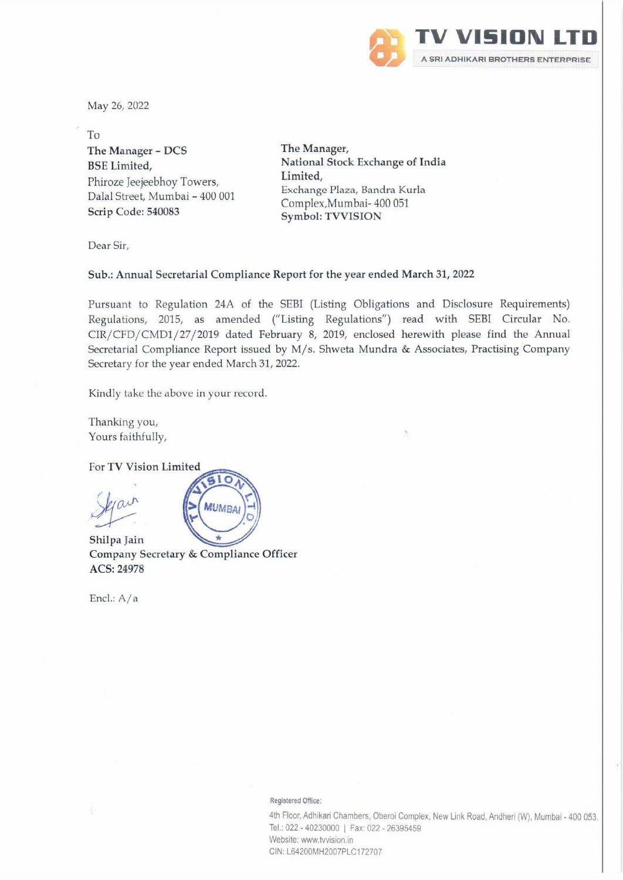

May 26, 2022

To The Manager - DCS The Manager, Phiroze Jeejeebhoy Towers, Dalal Street, Mumbai - 400 001 Scrip Code: 540083

BSE Limited, National Stock Exchange of India Limited, Exchange Plaza, Bandra Kurla Complex,Mumbai- 400 051 Symbol: TVVISION

Dear Sir,

## Sub.: Annual Secretarial Compliance Report for the year ended March 31, 2022

Pursuant to Regulation 24A of the SEBI (Listing Obligations and Disclosure Requirements) Regulations, 2015, as amended ("Listing Regulations") read with SEBI Circular No. CIR/CFD/CMD1/27/2019 dated February 8, 2019, enclosed herewith please find the Annual Secretarial Compliance Report issued by M/s. Shweta Mundra & Associates, Practising Company Secretary for the year ended March 31, 2022.

Kindly take the above in your record.

Thanking you, Yours faithfully,

For TV Vision Limited

Shilpa Jain Company Secretary & Compliance Officer ACS: 24978

 $10$ 

**MUMBA** 

Encl.: A/a

Registered Office:

4th Floor, Adhikari Chambers, Oberoi Complex, New Link Road, Andheri (W), Mumbai - 400 053. Tel.: 022 - 40230000 | Fax: 022 - 26395459 Website: www.twvision.in CIN: L64200MH2007PLC172707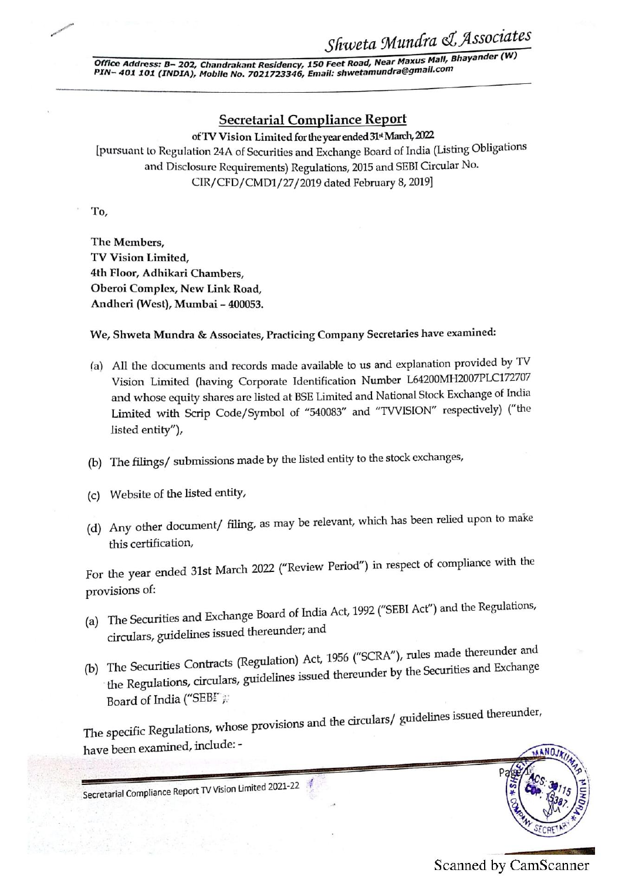Office Address: B- 202, Chandrakant Residency, 150 Feet Road, Near Maxus Mall, Bhayander (W)<br>PIN- 401 101 (YNDS) Office Address: B-202, Chandraka<br>PIN-401 101 (INDIA), Mobile No. PIN- 401 101 (INDIA), Mobile No. 7021723346, Email: shwetamundra@gmail.com

## Secretarial Compliance Report

of TV Vision Limited for the year ended 31st March, 2022

[pursuant to Regulation 24A of Securities and Exchange Board of India (Listing Obligations and Disclosure Requirements) Regulations, 2015 and SEBI Circular No. CIR/CFD/CMD1/27/2019 dated February 8, 2019]

To,

The Members, TV Vision Limited, Ath Floor, Adhikari Chambers, Oberoi Complex, New Link Road, Andheri (West), Mumbai - 400053.

We, Shweta Mundra & Associates, Practicing Company Secretaries have examined:

- (a) All the documents and records made available to us and explanation provided by TV Vision Limited (having Corporate Identification Number 1.64200MH2007PLC172707 and whose equity shares are listed at BSE Limited and National Stock Exchange of India Limited with Scrip Code/Symbol of "540083" and "TVVISION" respectively) ("the listed entity"),
- (b) The filings/ submissions made by the listed entity to the stock exchanges,
- (c) Website of the listed entity,
- (d) Any other document/ filing, as may be relevant, which has been relied upon to make this certification,

For the year ended 31st March 2022 ("Review Period") in respect of compliance with the provisions of:

- (a) The Securities and Exchange Board of India Act, 1992 ("SEBI Act") and the Regulations, circulars, guidelines issued thereunder; and
- (b) The Securities Contracts (Regulation) Act, 1956 ("SCRA"), rules made thereunder and<br>d thereunder by the Securities and Exchange The Securities Contracts (Regulation) Act, 1956 (Servit J. 2000)<br>the Regulations, circulars, guidelines issued thereunder by the Securities and Exchange Board of India ("SEBI"  $\mu$ (c) Website of the listed entity,<br>
(d) Any other document/ filing, as may be relevant, which has been relies<br>
this certification,<br>
For the year ended 31st March 2022 ("Review Period") in respect of com<br>
provisions of:<br>
(a

ions and the circulars/ guidelines issued thereunder, The specific Regulations, whose provis





**NOJA**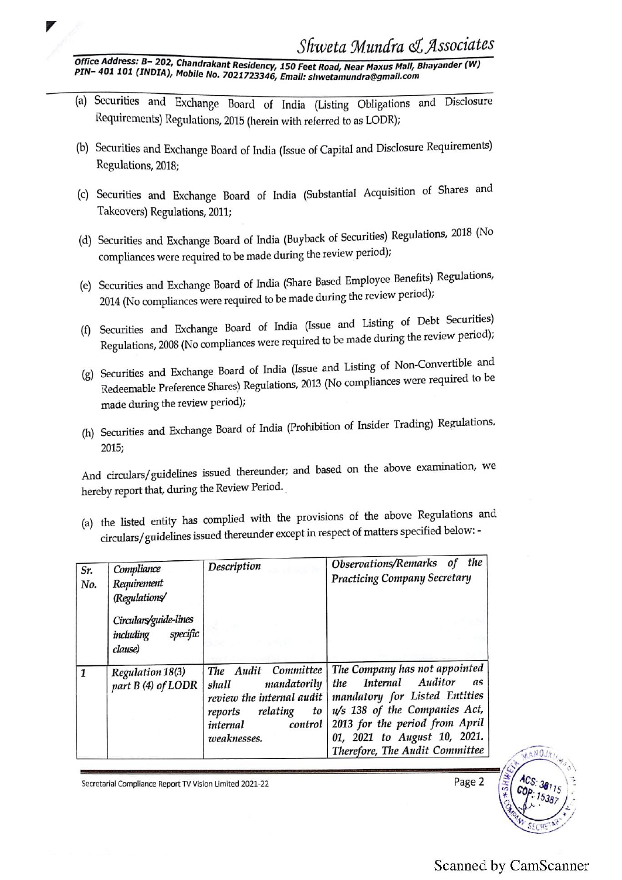Office Address: B- 202, Chandrakant Residency, 150 Feet Road, Near Maxus Mall, Bhayander (W)<br>PIN- 401 101 (INDIA), Mobile No. 7021723346, Email: shwetamundra@gmail.com

- (a) Securities and Exchange Board of India (Listing Obligations and Disclosure Requirements) Regulations, 2015 (herein with referred to as LODR);
- (b) Securities and Exchange Board of India (Issue of Capital and Disclosure Requirements) Regulations, 2018;
- (©) Securities and Exchange Board of India (Substantial Acquisition of Shares and Takeovers) Regulations, 2011;
- (d) Securities and Exchange Board of India (Buyback of Securities) Regulations, 2018 (No compliances were required to be made during the review period);
- (e) Securities and Exchange Board of India (Share Based Employee Benefits) Regulations, <sup>2014</sup>(No compliances were required to be made during the review period);
- (8) Securities and Exchange Board of India (Issue and Listing of Debt Securities) Regulations, 2008 (No compliances were required to be made during the review period),
- (g) Securities and Exchange Board of India (Issue and Listing of Non-Convertible and Redeemable Preference Shares) Regulations, 2013 (No compliances were required to be made during the review period); Regulations, 2018;<br>
(c) Securities and Exchange Board of In<br>
Takeovers) Regulations, 2011;<br>
(d) Securities and Exchange Board of India<br>
compliances were required to be made di<br>
(e) Securities and Exchange Board of India<br>
2
- (h) Securities and Exchange Board of India (Prohibition of Insider Trading) Regulations, 2015;

| compliances were required to be made during the review <b>F</b>                                                                                                                                                |                                                                                                                                          |                                                                                                                                                                                                                                                |
|----------------------------------------------------------------------------------------------------------------------------------------------------------------------------------------------------------------|------------------------------------------------------------------------------------------------------------------------------------------|------------------------------------------------------------------------------------------------------------------------------------------------------------------------------------------------------------------------------------------------|
| (e) Securities and Exchange Board of India (Share Based Employee Benefits) Regulations,<br>2014 (No compliances were required to be made during the review period);                                            |                                                                                                                                          |                                                                                                                                                                                                                                                |
| Securities and Exchange Board of India (Issue and Listing of Debt Securities)<br>(f)<br>Regulations, 2008 (No compliances were required to be made during the review period);                                  |                                                                                                                                          |                                                                                                                                                                                                                                                |
| (g) Securities and Exchange Board of India (Issue and Listing of Non-Convertible and<br>Redeemable Preference Shares) Regulations, 2013 (No compliances were required to be<br>made during the review period); |                                                                                                                                          |                                                                                                                                                                                                                                                |
| (h) Securities and Exchange Board of India (Prohibition of Insider Trading) Regulations,<br>2015;                                                                                                              |                                                                                                                                          |                                                                                                                                                                                                                                                |
| And circulars/guidelines issued thereunder; and based on the above examination, we<br>hereby report that, during the Review Period.                                                                            |                                                                                                                                          |                                                                                                                                                                                                                                                |
| (a) the listed entity has complied with the provisions of the above Regulations and<br>circulars/guidelines issued thereunder except in respect of matters specified below: -                                  |                                                                                                                                          |                                                                                                                                                                                                                                                |
| Compliance<br>Sr.<br>Requirement<br>No.<br>(Regulations/                                                                                                                                                       | Description                                                                                                                              | Observations/Remarks of the<br><b>Practicing Company Secretary</b>                                                                                                                                                                             |
| Circulars/guide-lines<br>specific<br>including<br>clause)                                                                                                                                                      |                                                                                                                                          |                                                                                                                                                                                                                                                |
| Regulation 18(3)<br>part B (4) of LODR                                                                                                                                                                         | The Audit Committee<br>mandatorily<br>shall<br>review the internal audit<br>reports relating<br>to<br>internal<br>control<br>weaknesses. | The Company has not appointed<br>Auditor<br><b>Internal</b><br>as<br>the<br>mandatory for Listed Entities<br>u/s 138 of the Companies Act,<br>2013 for the period from April<br>01, 2021 to August 10, 2021.<br>Therefore, The Audit Committee |
|                                                                                                                                                                                                                |                                                                                                                                          |                                                                                                                                                                                                                                                |

Secretarial Compliance Report TV Vision Limited 2021-22

Page 2